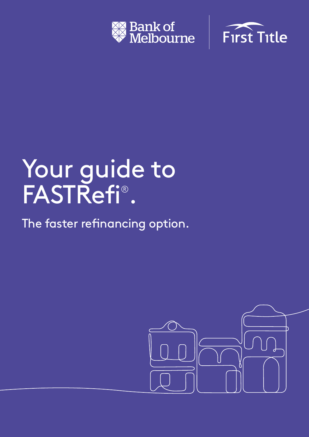



# Your guide to FASTRefi® .

The faster refinancing option.

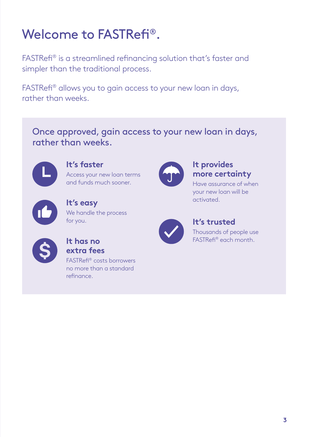## Welcome to FASTRefi®.

FASTRefi® is a streamlined refinancing solution that's faster and simpler than the traditional process.

FASTRefi® allows you to gain access to your new loan in days, rather than weeks.

Once approved, gain access to your new loan in days, rather than weeks.



**It's faster** Access your new loan terms

and funds much sooner.



**It's easy** We handle the process for you.



### **It has no extra fees**

FASTRefi® costs borrowers no more than a standard refinance.



#### **It provides more certainty**

Have assurance of when your new loan will be activated.



### **It's trusted**

Thousands of people use FASTRefi® each month.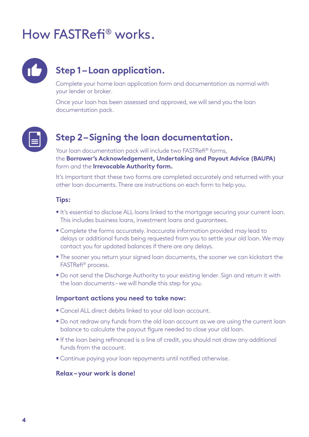## How FASTRefi® works.



## **Step 1 – Loan application.**

Complete your home loan application form and documentation as normal with your lender or broker.

Once your loan has been assessed and approved, we will send you the loan documentation pack.



## **Step 2 – Signing the loan documentation.**

Your loan documentation pack will include two FASTRefi<sup>®</sup> forms, the **Borrower's Acknowledgement, Undertaking and Payout Advice (BAUPA)** form and the **Irrevocable Authority form.** 

It's important that these two forms are completed accurately and returned with your other loan documents. There are instructions on each form to help you.

#### **Tips:**

- **•** It's essential to disclose ALL loans linked to the mortgage securing your current loan. This includes business loans, investment loans and guarantees.
- **•** Complete the forms accurately. Inaccurate information provided may lead to delays or additional funds being requested from you to settle your old loan. We may contact you for updated balances if there are any delays.
- **•** The sooner you return your signed loan documents, the sooner we can kickstart the FASTRefi® process.
- **•** Do not send the Discharge Authority to your existing lender. Sign and return it with the loan documents – we will handle this step for you.

#### **Important actions you need to take now:**

- **•** Cancel ALL direct debits linked to your old loan account.
- **•** Do not redraw any funds from the old loan account as we are using the current loan balance to calculate the payout figure needed to close your old loan.
- **•** If the loan being refinanced is a line of credit, you should not draw any additional funds from the account.
- **•** Continue paying your loan repayments until notified otherwise.

#### **Relax – your work is done!**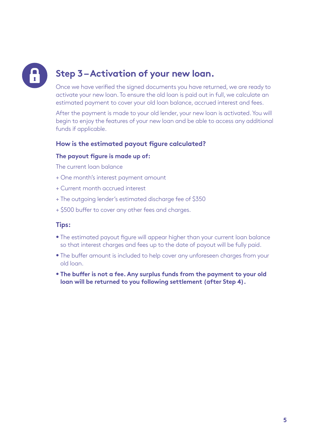## **Step 3 – Activation of your new loan.**

Once we have verified the signed documents you have returned, we are ready to activate your new loan. To ensure the old loan is paid out in full, we calculate an estimated payment to cover your old loan balance, accrued interest and fees.

After the payment is made to your old lender, your new loan is activated. You will begin to enjoy the features of your new loan and be able to access any additional funds if applicable.

#### **How is the estimated payout figure calculated?**

#### **The payout figure is made up of:**

The current loan balance

- + One month's interest payment amount
- + Current month accrued interest
- + The outgoing lender's estimated discharge fee of \$350
- + \$500 buffer to cover any other fees and charges.

#### **Tips:**

- **•** The estimated payout figure will appear higher than your current loan balance so that interest charges and fees up to the date of payout will be fully paid.
- **•** The buffer amount is included to help cover any unforeseen charges from your old loan.
- **• The buffer is not a fee. Any surplus funds from the payment to your old loan will be returned to you following settlement (after Step 4).**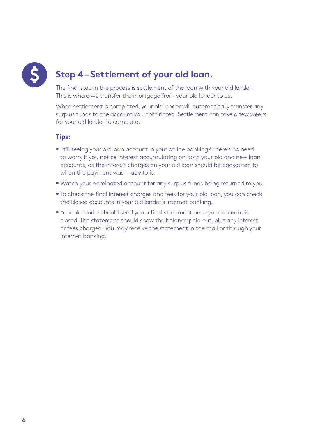

## **Step 4 – Settlement of your old loan.**

The final step in the process is settlement of the loan with your old lender. This is where we transfer the mortgage from your old lender to us.

When settlement is completed, your old lender will automatically transfer any surplus funds to the account you nominated. Settlement can take a few weeks for your old lender to complete.

#### **Tips:**

- **•** Still seeing your old loan account in your online banking? There's no need to worry if you notice interest accumulating on both your old and new loan accounts, as the interest charges on your old loan should be backdated to when the payment was made to it.
- **•** Watch your nominated account for any surplus funds being returned to you.
- **•** To check the final interest charges and fees for your old loan, you can check the closed accounts in your old lender's internet banking.
- **•** Your old lender should send you a final statement once your account is closed. The statement should show the balance paid out, plus any interest or fees charged. You may receive the statement in the mail or through your internet banking.